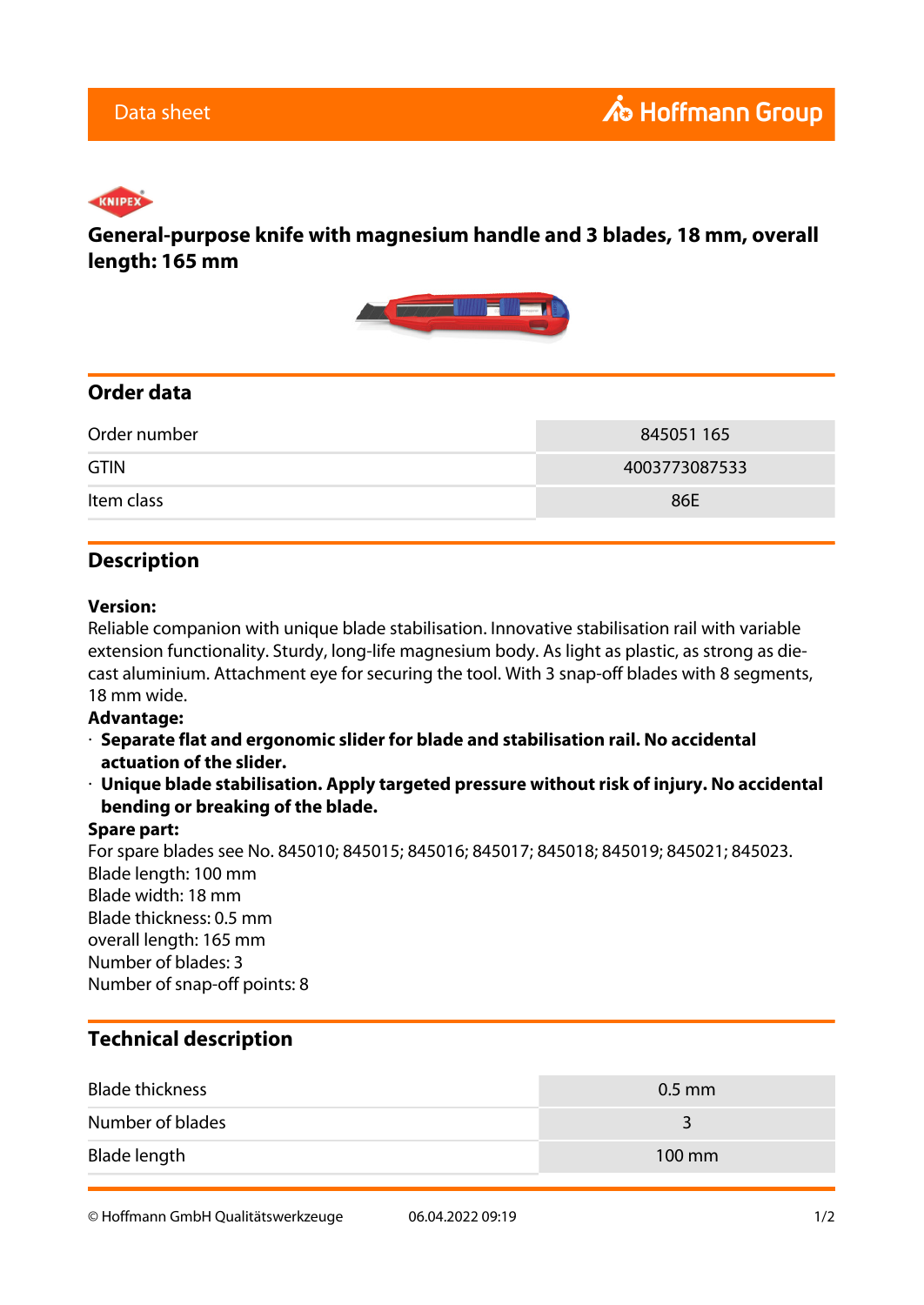# KNIPEX

## **General-purpose knife with magnesium handle and 3 blades, 18 mm, overall length: 165 mm**



## **Order data**

| Order number | 845051 165    |
|--------------|---------------|
| <b>GTIN</b>  | 4003773087533 |
| Item class   | 86E           |

## **Description**

#### **Version:**

Reliable companion with unique blade stabilisation. Innovative stabilisation rail with variable extension functionality. Sturdy, long-life magnesium body. As light as plastic, as strong as diecast aluminium. Attachment eye for securing the tool. With 3 snap-off blades with 8 segments, 18 mm wide.

#### **Advantage:**

- · **Separate flat and ergonomic slider for blade and stabilisation rail. No accidental actuation of the slider.**
- · **Unique blade stabilisation. Apply targeted pressure without risk of injury. No accidental bending or breaking of the blade.**

#### **Spare part:**

For spare blades see No. 845010; 845015; 845016; 845017; 845018; 845019; 845021; 845023. Blade length: 100 mm Blade width: 18 mm Blade thickness: 0.5 mm overall length: 165 mm Number of blades: 3 Number of snap-off points: 8

## **Technical description**

| <b>Blade thickness</b> | $0.5$ mm         |
|------------------------|------------------|
| Number of blades       | 3                |
| Blade length           | $100 \text{ mm}$ |

© Hoffmann GmbH Qualitätswerkzeuge 06.04.2022 09:19 1/2